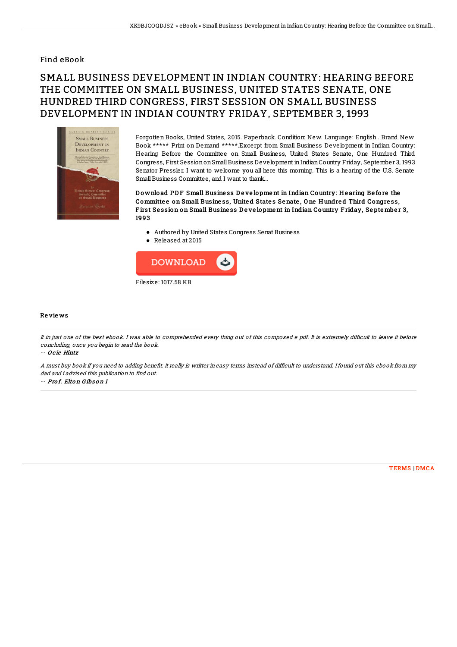## Find eBook

## SMALL BUSINESS DEVELOPMENT IN INDIAN COUNTRY: HEARING BEFORE THE COMMITTEE ON SMALL BUSINESS, UNITED STATES SENATE, ONE HUNDRED THIRD CONGRESS, FIRST SESSION ON SMALL BUSINESS DEVELOPMENT IN INDIAN COUNTRY FRIDAY, SEPTEMBER 3, 1993



Forgotten Books, United States, 2015. Paperback. Condition: New. Language: English . Brand New Book \*\*\*\*\* Print on Demand \*\*\*\*\*.Excerpt from Small Business Development in Indian Country: Hearing Before the Committee on Small Business, United States Senate, One Hundred Third Congress, First SessiononSmallBusiness Development inIndianCountry Friday, September 3, 1993 Senator Pressler. I want to welcome you all here this morning. This is a hearing of the U.S. Senate Small Business Committee, and I want to thank...

Download PDF Small Business Development in Indian Country: Hearing Before the Committe e on Small Busine ss, Unite d State s Se nate , O ne H undre d Third Congre ss, First Session on Small Business Development in Indian Country Friday, September 3, 1993

- Authored by United States Congress Senat Business
- Released at 2015



## Re vie ws

It in just one of the best ebook. I was able to comprehended every thing out of this composed e pdf. It is extremely difficult to leave it before concluding, once you begin to read the book.

-- O c ie Hintz

A must buy book if you need to adding benefit. It really is writter in easy terms instead of difficult to understand. I found out this ebook from my dad and i advised this publication to find out.

-- Pro f. Elto <sup>n</sup> G ibs o <sup>n</sup> I